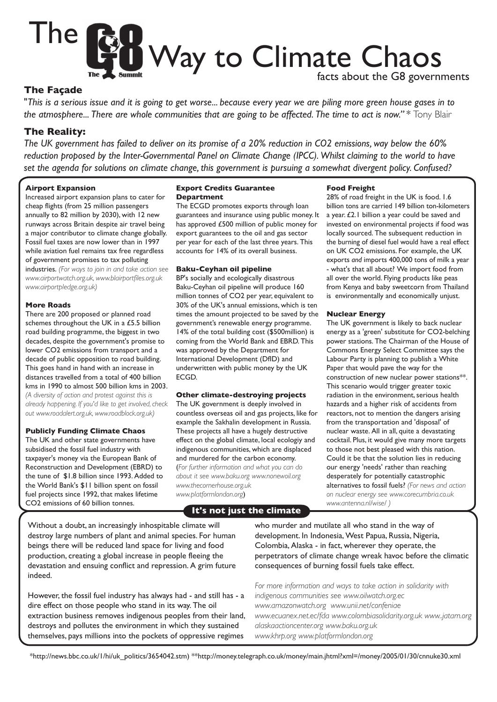

## **The Façade**

"*This is a serious issue and it is going to get worse... because every year we are piling more green house gases in to the atmosphere... There are whole communities that are going to be affected. The time to act is now." \** Tony Blair

# **The Reality:**

*The UK government has failed to deliver on its promise of a 20% reduction in CO2 emissions, way below the 60%*  reduction proposed by the Inter-Governmental Panel on Climate Change (IPCC). Whilst claiming to the world to have *set the agenda for solutions on climate change, this government is pursuing a somewhat divergent policy. Confused?*

## **Airport Expansion**

Increased airport expansion plans to cater for cheap flights (from 25 million passengers annually to 82 million by 2030), with 12 new runways across Britain despite air travel being a major contributor to climate change globally. Fossil fuel taxes are now lower than in 1997 while aviation fuel remains tax free regardless of government promises to tax polluting industries. *(For ways to join in and take action see www.airportwatch.org.uk, www.blairportfiles.org.uk www.airportpledge.org.uk)*

### **More Roads**

There are 200 proposed or planned road schemes throughout the UK in a £5.5 billion road building programme, the biggest in two decades, despite the government's promise to lower CO2 emissions from transport and a decade of public opposition to road building. This goes hand in hand with an increase in distances travelled from a total of 400 billion kms in 1990 to almost 500 billion kms in 2003. *(A diversity of action and protest against this is already happening. If you'd like to get involved, check out www.roadalert.org.uk, www.roadblock.org.uk)*

#### **Publicly Funding Climate Chaos**

The UK and other state governments have subsidised the fossil fuel industry with taxpayer's money via the European Bank of Reconstruction and Development (EBRD) to the tune of \$1.8 billion since 1993. Added to the World Bank's \$11 billion spent on fossil fuel projects since 1992, that makes lifetime CO2 emissions of 60 billion tonnes.

### **Export Credits Guarantee Department**

The ECGD promotes exports through loan guarantees and insurance using public money. It has approved £500 million of public money for export guarantees to the oil and gas sector per year for each of the last three years. This accounts for 14% of its overall business.

#### **Baku-Ceyhan oil pipeline**

BP's socially and ecologically disastrous Baku-Ceyhan oil pipeline will produce 160 million tonnes of CO2 per year, equivalent to 30% of the UK's annual emissions, which is ten times the amount projected to be saved by the government's renewable energy programme. 14% of the total building cost (\$500million) is coming from the World Bank and EBRD. This was approved by the Department for International Development (DfID) and underwritten with public money by the UK ECGD.

#### **Other climate-destroying projects**

The UK government is deeply involved in countless overseas oil and gas projects, like for example the Sakhalin development in Russia. These projects all have a hugely destructive effect on the global climate, local ecologiy and indigenous communities, which are displaced and murdered for the carbon economy. (*For further information and what you can do about it see www.baku.org www.nonewoil.org www.thecornerhouse.org.uk www.platformlondon.org*)

# **It's not just the climate**

## Without a doubt, an increasingly inhospitable climate will destroy large numbers of plant and animal species. For human beings there will be reduced land space for living and food production, creating a global increase in people fleeing the devastation and ensuing conflict and repression. A grim future indeed.

However, the fossil fuel industry has always had - and still has - a dire effect on those people who stand in its way. The oil extraction business removes indigenous peoples from their land, destroys and pollutes the environment in which they sustained themselves, pays millions into the pockets of oppressive regimes

## **Food Freight**

28% of road freight in the UK is food. 1.6 billion tons are carried 149 billion ton-kilometers a year. £2.1 billion a year could be saved and invested on environmental projects if food was locally sourced. The subsequent reduction in the burning of diesel fuel would have a real effect on UK CO2 emissions. For example, the UK exports *and* imports 400,000 tons of milk a year - what's that all about? We import food from all over the world. Flying products like peas from Kenya and baby sweetcorn from Thailand is environmentally and economically unjust.

## **Nuclear Energy**

The UK government is likely to back nuclear energy as a 'green' substitute for CO2-belching power stations. The Chairman of the House of Commons Energy Select Committee says the Labour Party is planning to publish a White Paper that would pave the way for the construction of new nuclear power stations\*\*. This scenario would trigger greater toxic radiation in the environment, serious health hazards and a higher risk of accidents from reactors, not to mention the dangers arising from the transportation and 'disposal' of nuclear waste. All in all, quite a devastating cocktail. Plus, it would give many more targets to those not best pleased with this nation. Could it be that the solution lies in reducing our energy 'needs' rather than reaching desperately for potentially catastrophic alternatives to fossil fuels? *(For news and action on nuclear energy see www.corecumbria.co.uk www.antenna.nl/wise/ )*

who murder and mutilate all who stand in the way of development. In Indonesia, West Papua, Russia, Nigeria, Colombia, Alaska - in fact, wherever they operate, the perpetrators of climate change wreak havoc before the climatic consequences of burning fossil fuels take effect.

*For more information and ways to take action in solidarity with indigenous communities see www.oilwatch.org.ec www.amazonwatch.org www.unii.net/confeniae www.ecuanex.net.ec/fda www.colombiasolidarity.org.uk www..jatam.org alaskaactioncenter.org www.baku.org.uk www.khrp.org www.platformlondon.org*

\*http://news.bbc.co.uk/1/hi/uk\_politics/3654042.stm) \*\*http://money.telegraph.co.uk/money/main.jhtml?xml=/money/2005/01/30/cnnuke30.xml